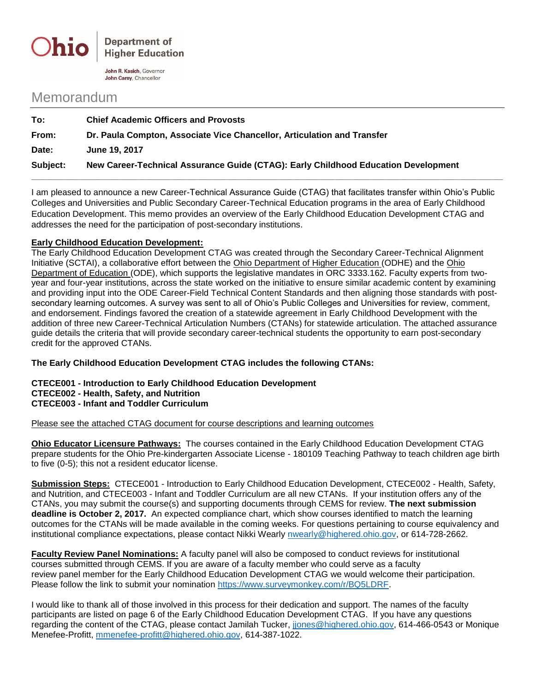

John R. Kasich, Governor John Carey, Chancellor

## Memorandum

| To:      | <b>Chief Academic Officers and Provosts</b>                                        |  |
|----------|------------------------------------------------------------------------------------|--|
| From:    | Dr. Paula Compton, Associate Vice Chancellor, Articulation and Transfer            |  |
| Date:    | June 19, 2017                                                                      |  |
| Subject: | New Career-Technical Assurance Guide (CTAG): Early Childhood Education Development |  |

I am pleased to announce a new Career-Technical Assurance Guide (CTAG) that facilitates transfer within Ohio's Public Colleges and Universities and Public Secondary Career-Technical Education programs in the area of Early Childhood Education Development. This memo provides an overview of the Early Childhood Education Development CTAG and addresses the need for the participation of post-secondary institutions.

## **Early Childhood Education Development:**

The Early Childhood Education Development CTAG was created through the Secondary Career-Technical Alignment Initiative (SCTAI), a collaborative effort between the Ohio Department of Higher Education (ODHE) and the Ohio Department of Education (ODE), which supports the legislative mandates in ORC 3333.162. Faculty experts from twoyear and four-year institutions, across the state worked on the initiative to ensure similar academic content by examining and providing input into the ODE Career-Field Technical Content Standards and then aligning those standards with postsecondary learning outcomes. A survey was sent to all of Ohio's Public Colleges and Universities for review, comment, and endorsement. Findings favored the creation of a statewide agreement in Early Childhood Development with the addition of three new Career-Technical Articulation Numbers (CTANs) for statewide articulation. The attached assurance guide details the criteria that will provide secondary career-technical students the opportunity to earn post-secondary credit for the approved CTANs.

**The Early Childhood Education Development CTAG includes the following CTANs:**

## **CTECE001 - Introduction to Early Childhood Education Development CTECE002 - Health, Safety, and Nutrition CTECE003 - Infant and Toddler Curriculum**

Please see the attached CTAG document for course descriptions and learning outcomes

**Ohio Educator Licensure Pathways:** The courses contained in the Early Childhood Education Development CTAG prepare students for the Ohio Pre-kindergarten Associate License - 180109 Teaching Pathway to teach children age birth to five (0-5); this not a resident educator license.

**Submission Steps:** CTECE001 - Introduction to Early Childhood Education Development, CTECE002 - Health, Safety, and Nutrition, and CTECE003 - Infant and Toddler Curriculum are all new CTANs. If your institution offers any of the CTANs, you may submit the course(s) and supporting documents through CEMS for review. **The next submission deadline is October 2, 2017.** An expected compliance chart, which show courses identified to match the learning outcomes for the CTANs will be made available in the coming weeks. For questions pertaining to course equivalency and institutional compliance expectations, please contact Nikki Wearly [nwearly@highered.ohio.gov,](mailto:nwearly@highered.ohio.gov) or 614-728-2662.

**Faculty Review Panel Nominations:** A faculty panel will also be composed to conduct reviews for institutional courses submitted through CEMS. If you are aware of a faculty member who could serve as a faculty review panel member for the Early Childhood Education Development CTAG we would welcome their participation. Please follow the link to submit your nomination [https://www.surveymonkey.com/r/BQ5LDRF.](https://www.surveymonkey.com/r/BQ5LDRF)

I would like to thank all of those involved in this process for their dedication and support. The names of the faculty participants are listed on page 6 of the Early Childhood Education Development CTAG. If you have any questions regarding the content of the CTAG, please contact Jamilah Tucker, [jjones@highered.ohio.gov,](mailto:jjones@highered.ohio.gov) 614-466-0543 or Monique Menefee-Profitt, [mmenefee-profitt@highered.ohio.gov,](mailto:mmenefee-profitt@highered.ohio.gov) 614-387-1022.